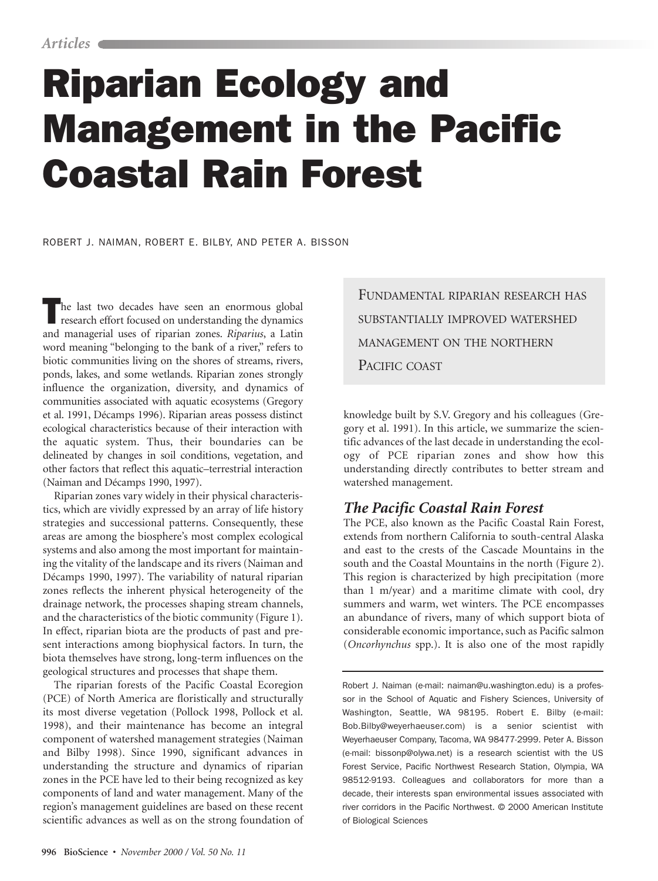# Riparian Ecology and Management in the Pacific Coastal Rain Forest

ROBERT J. NAIMAN, ROBERT E. BILBY, AND PETER A. BISSON

The last two decades have seen an enormous global research effort focused on understanding the dynamics and managerial uses of riparian zones. *Riparius*, a Latin word meaning "belonging to the bank of a river," refers to biotic communities living on the shores of streams, rivers, ponds, lakes, and some wetlands. Riparian zones strongly influence the organization, diversity, and dynamics of communities associated with aquatic ecosystems (Gregory et al. 1991, Décamps 1996). Riparian areas possess distinct ecological characteristics because of their interaction with the aquatic system. Thus, their boundaries can be delineated by changes in soil conditions, vegetation, and other factors that reflect this aquatic–terrestrial interaction (Naiman and Décamps 1990, 1997).

Riparian zones vary widely in their physical characteristics, which are vividly expressed by an array of life history strategies and successional patterns. Consequently, these areas are among the biosphere's most complex ecological systems and also among the most important for maintaining the vitality of the landscape and its rivers (Naiman and Décamps 1990, 1997). The variability of natural riparian zones reflects the inherent physical heterogeneity of the drainage network, the processes shaping stream channels, and the characteristics of the biotic community (Figure 1). In effect, riparian biota are the products of past and present interactions among biophysical factors. In turn, the biota themselves have strong, long-term influences on the geological structures and processes that shape them.

The riparian forests of the Pacific Coastal Ecoregion (PCE) of North America are floristically and structurally its most diverse vegetation (Pollock 1998, Pollock et al. 1998), and their maintenance has become an integral component of watershed management strategies (Naiman and Bilby 1998). Since 1990, significant advances in understanding the structure and dynamics of riparian zones in the PCE have led to their being recognized as key components of land and water management. Many of the region's management guidelines are based on these recent scientific advances as well as on the strong foundation of FUNDAMENTAL RIPARIAN RESEARCH HAS SUBSTANTIALLY IMPROVED WATERSHED MANAGEMENT ON THE NORTHERN PACIFIC COAST

knowledge built by S.V. Gregory and his colleagues (Gregory et al. 1991). In this article, we summarize the scientific advances of the last decade in understanding the ecology of PCE riparian zones and show how this understanding directly contributes to better stream and watershed management.

## *The Pacific Coastal Rain Forest*

The PCE, also known as the Pacific Coastal Rain Forest, extends from northern California to south-central Alaska and east to the crests of the Cascade Mountains in the south and the Coastal Mountains in the north (Figure 2). This region is characterized by high precipitation (more than 1 m/year) and a maritime climate with cool, dry summers and warm, wet winters. The PCE encompasses an abundance of rivers, many of which support biota of considerable economic importance, such as Pacific salmon (*Oncorhynchus* spp.). It is also one of the most rapidly

Robert J. Naiman (e-mail: naiman@u.washington.edu) is a professor in the School of Aquatic and Fishery Sciences, University of Washington, Seattle, WA 98195. Robert E. Bilby (e-mail: Bob.Bilby@weyerhaeuser.com) is a senior scientist with Weyerhaeuser Company, Tacoma, WA 98477-2999. Peter A. Bisson (e-mail: bissonp@olywa.net) is a research scientist with the US Forest Service, Pacific Northwest Research Station, Olympia, WA 98512-9193. Colleagues and collaborators for more than a decade, their interests span environmental issues associated with river corridors in the Pacific Northwest. © 2000 American Institute of Biological Sciences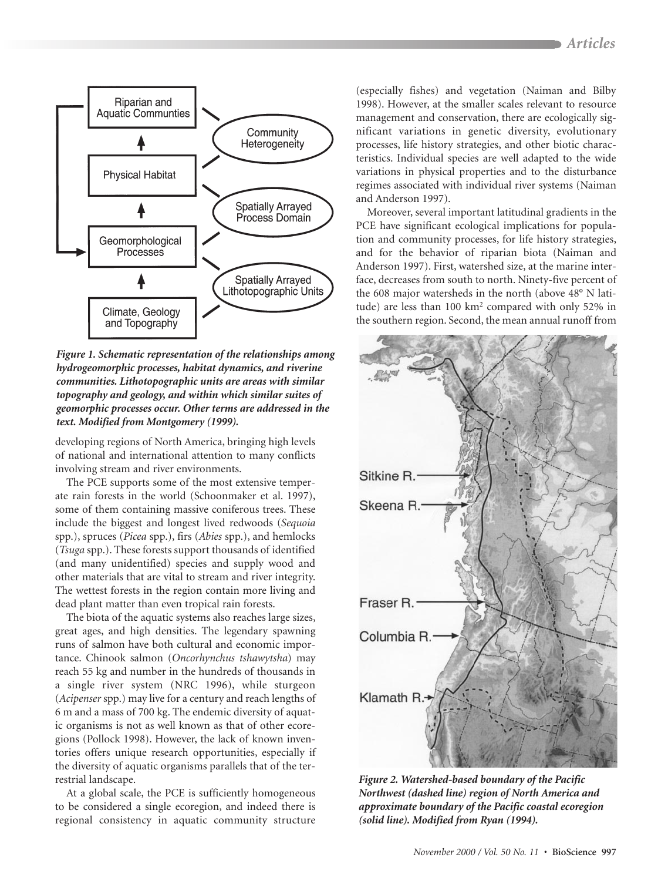

*Figure 1. Schematic representation of the relationships among hydrogeomorphic processes, habitat dynamics, and riverine communities. Lithotopographic units are areas with similar topography and geology, and within which similar suites of geomorphic processes occur. Other terms are addressed in the text. Modified from Montgomery (1999).*

developing regions of North America, bringing high levels of national and international attention to many conflicts involving stream and river environments.

The PCE supports some of the most extensive temperate rain forests in the world (Schoonmaker et al. 1997), some of them containing massive coniferous trees. These include the biggest and longest lived redwoods (*Sequoia* spp.), spruces (*Picea* spp.), firs (*Abies* spp.), and hemlocks (*Tsuga* spp.). These forests support thousands of identified (and many unidentified) species and supply wood and other materials that are vital to stream and river integrity. The wettest forests in the region contain more living and dead plant matter than even tropical rain forests.

The biota of the aquatic systems also reaches large sizes, great ages, and high densities. The legendary spawning runs of salmon have both cultural and economic importance. Chinook salmon (*Oncorhynchus tshawytsha*) may reach 55 kg and number in the hundreds of thousands in a single river system (NRC 1996), while sturgeon (*Acipenser* spp.) may live for a century and reach lengths of 6 m and a mass of 700 kg. The endemic diversity of aquatic organisms is not as well known as that of other ecoregions (Pollock 1998). However, the lack of known inventories offers unique research opportunities, especially if the diversity of aquatic organisms parallels that of the terrestrial landscape.

At a global scale, the PCE is sufficiently homogeneous to be considered a single ecoregion, and indeed there is regional consistency in aquatic community structure

(especially fishes) and vegetation (Naiman and Bilby 1998). However, at the smaller scales relevant to resource management and conservation, there are ecologically significant variations in genetic diversity, evolutionary processes, life history strategies, and other biotic characteristics. Individual species are well adapted to the wide variations in physical properties and to the disturbance regimes associated with individual river systems (Naiman and Anderson 1997).

Moreover, several important latitudinal gradients in the PCE have significant ecological implications for population and community processes, for life history strategies, and for the behavior of riparian biota (Naiman and Anderson 1997). First, watershed size, at the marine interface, decreases from south to north. Ninety-five percent of the 608 major watersheds in the north (above 48° N latitude) are less than 100 km2 compared with only 52% in the southern region. Second, the mean annual runoff from



*Figure 2. Watershed-based boundary of the Pacific Northwest (dashed line) region of North America and approximate boundary of the Pacific coastal ecoregion (solid line). Modified from Ryan (1994).*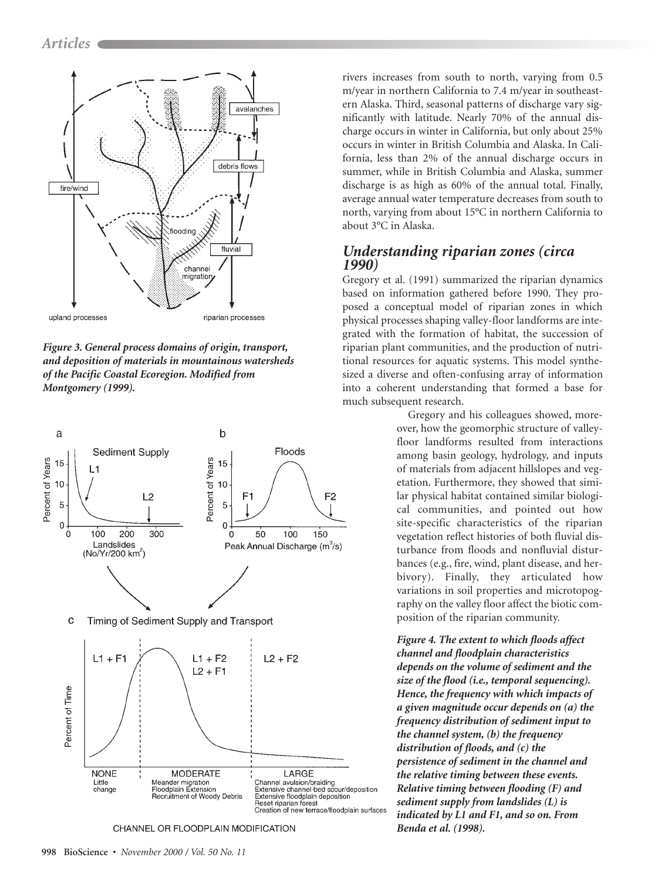

*Figure 3. General process domains of origin, transport, and deposition of materials in mountainous watersheds of the Pacific Coastal Ecoregion. Modified from Montgomery (1999).*



CHANNEL OR FLOODPLAIN MODIFICATION

rivers increases from south to north, varying from 0.5 m/year in northern California to 7.4 m/year in southeastern Alaska. Third, seasonal patterns of discharge vary significantly with latitude. Nearly 70% of the annual discharge occurs in winter in California, but only about 25% occurs in winter in British Columbia and Alaska. In California, less than 2% of the annual discharge occurs in summer, while in British Columbia and Alaska, summer discharge is as high as 60% of the annual total. Finally, average annual water temperature decreases from south to north, varying from about 15°C in northern California to about 3°C in Alaska.

#### *Understanding riparian zones (circa 1990)*

Gregory et al. (1991) summarized the riparian dynamics based on information gathered before 1990. They proposed a conceptual model of riparian zones in which physical processes shaping valley-floor landforms are integrated with the formation of habitat, the succession of riparian plant communities, and the production of nutritional resources for aquatic systems. This model synthesized a diverse and often-confusing array of information into a coherent understanding that formed a base for much subsequent research.

> Gregory and his colleagues showed, moreover, how the geomorphic structure of valleyfloor landforms resulted from interactions among basin geology, hydrology, and inputs of materials from adjacent hillslopes and vegetation. Furthermore, they showed that similar physical habitat contained similar biological communities, and pointed out how site-specific characteristics of the riparian vegetation reflect histories of both fluvial disturbance from floods and nonfluvial disturbances (e.g., fire, wind, plant disease, and herbivory). Finally, they articulated how variations in soil properties and microtopography on the valley floor affect the biotic composition of the riparian community.

*Figure 4. The extent to which floods affect channel and floodplain characteristics depends on the volume of sediment and the size of the flood (i.e., temporal sequencing). Hence, the frequency with which impacts of a given magnitude occur depends on (a) the frequency distribution of sediment input to the channel system, (b) the frequency distribution of floods, and (c) the persistence of sediment in the channel and the relative timing between these events. Relative timing between flooding (F) and sediment supply from landslides (L) is indicated by L1 and F1, and so on. From Benda et al. (1998).*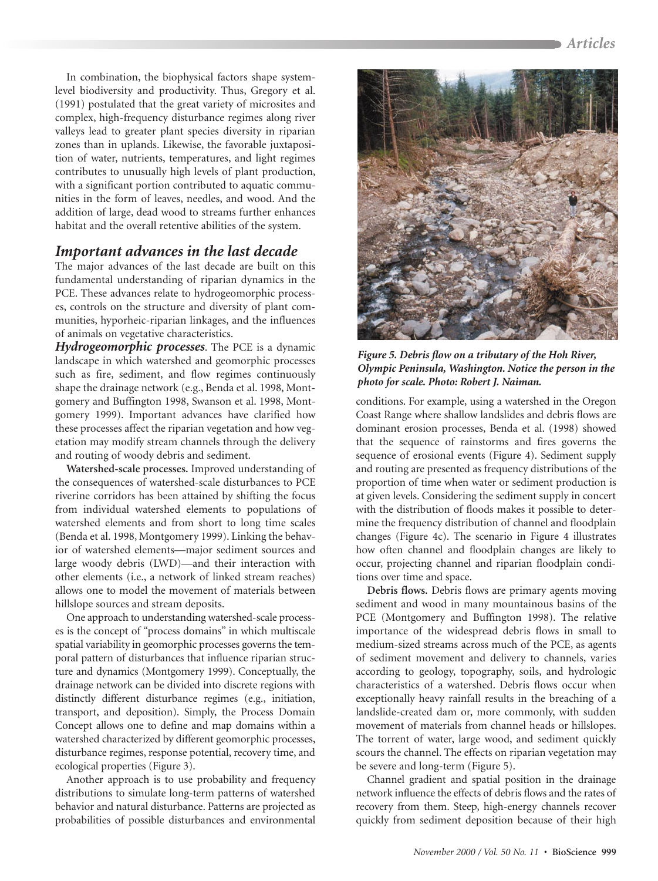In combination, the biophysical factors shape systemlevel biodiversity and productivity. Thus, Gregory et al. (1991) postulated that the great variety of microsites and complex, high-frequency disturbance regimes along river valleys lead to greater plant species diversity in riparian zones than in uplands. Likewise, the favorable juxtaposition of water, nutrients, temperatures, and light regimes contributes to unusually high levels of plant production, with a significant portion contributed to aquatic communities in the form of leaves, needles, and wood. And the addition of large, dead wood to streams further enhances habitat and the overall retentive abilities of the system.

## *Important advances in the last decade*

The major advances of the last decade are built on this fundamental understanding of riparian dynamics in the PCE. These advances relate to hydrogeomorphic processes, controls on the structure and diversity of plant communities, hyporheic-riparian linkages, and the influences of animals on vegetative characteristics.

*Hydrogeomorphic processes*. The PCE is a dynamic landscape in which watershed and geomorphic processes such as fire, sediment, and flow regimes continuously shape the drainage network (e.g., Benda et al. 1998, Montgomery and Buffington 1998, Swanson et al. 1998, Montgomery 1999). Important advances have clarified how these processes affect the riparian vegetation and how vegetation may modify stream channels through the delivery and routing of woody debris and sediment.

**Watershed-scale processes.** Improved understanding of the consequences of watershed-scale disturbances to PCE riverine corridors has been attained by shifting the focus from individual watershed elements to populations of watershed elements and from short to long time scales (Benda et al. 1998, Montgomery 1999). Linking the behavior of watershed elements—major sediment sources and large woody debris (LWD)—and their interaction with other elements (i.e., a network of linked stream reaches) allows one to model the movement of materials between hillslope sources and stream deposits.

One approach to understanding watershed-scale processes is the concept of "process domains" in which multiscale spatial variability in geomorphic processes governs the temporal pattern of disturbances that influence riparian structure and dynamics (Montgomery 1999). Conceptually, the drainage network can be divided into discrete regions with distinctly different disturbance regimes (e.g., initiation, transport, and deposition). Simply, the Process Domain Concept allows one to define and map domains within a watershed characterized by different geomorphic processes, disturbance regimes, response potential, recovery time, and ecological properties (Figure 3).

Another approach is to use probability and frequency distributions to simulate long-term patterns of watershed behavior and natural disturbance. Patterns are projected as probabilities of possible disturbances and environmental



*Figure 5. Debris flow on a tributary of the Hoh River, Olympic Peninsula, Washington. Notice the person in the photo for scale. Photo: Robert J. Naiman.*

conditions. For example, using a watershed in the Oregon Coast Range where shallow landslides and debris flows are dominant erosion processes, Benda et al. (1998) showed that the sequence of rainstorms and fires governs the sequence of erosional events (Figure 4). Sediment supply and routing are presented as frequency distributions of the proportion of time when water or sediment production is at given levels. Considering the sediment supply in concert with the distribution of floods makes it possible to determine the frequency distribution of channel and floodplain changes (Figure 4c). The scenario in Figure 4 illustrates how often channel and floodplain changes are likely to occur, projecting channel and riparian floodplain conditions over time and space.

**Debris flows.** Debris flows are primary agents moving sediment and wood in many mountainous basins of the PCE (Montgomery and Buffington 1998). The relative importance of the widespread debris flows in small to medium-sized streams across much of the PCE, as agents of sediment movement and delivery to channels, varies according to geology, topography, soils, and hydrologic characteristics of a watershed. Debris flows occur when exceptionally heavy rainfall results in the breaching of a landslide-created dam or, more commonly, with sudden movement of materials from channel heads or hillslopes. The torrent of water, large wood, and sediment quickly scours the channel. The effects on riparian vegetation may be severe and long-term (Figure 5).

Channel gradient and spatial position in the drainage network influence the effects of debris flows and the rates of recovery from them. Steep, high-energy channels recover quickly from sediment deposition because of their high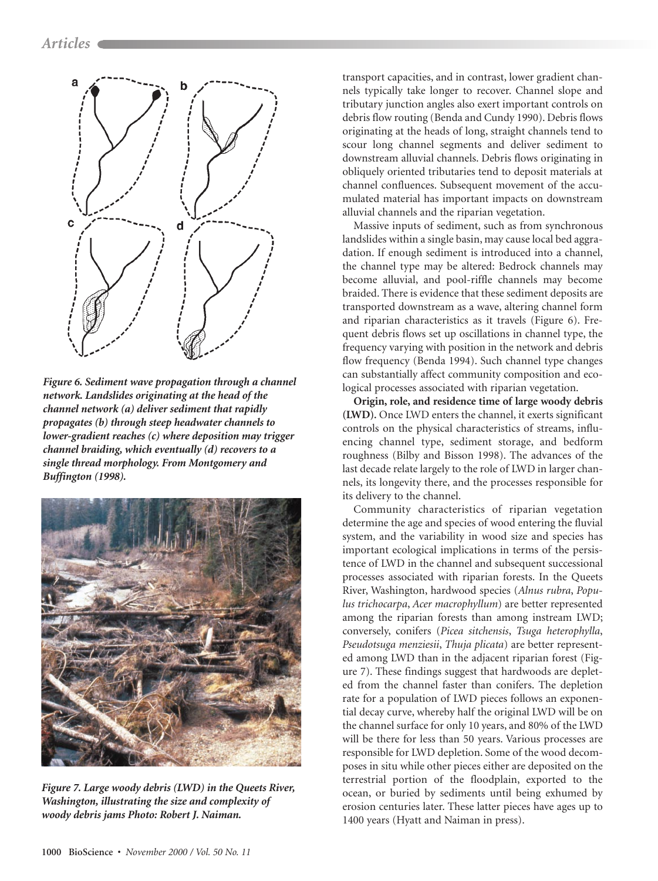

*Figure 6. Sediment wave propagation through a channel network. Landslides originating at the head of the channel network (a) deliver sediment that rapidly propagates (b) through steep headwater channels to lower-gradient reaches (c) where deposition may trigger channel braiding, which eventually (d) recovers to a single thread morphology. From Montgomery and Buffington (1998).*



*Figure 7. Large woody debris (LWD) in the Queets River, Washington, illustrating the size and complexity of woody debris jams Photo: Robert J. Naiman.*

transport capacities, and in contrast, lower gradient channels typically take longer to recover. Channel slope and tributary junction angles also exert important controls on debris flow routing (Benda and Cundy 1990). Debris flows originating at the heads of long, straight channels tend to scour long channel segments and deliver sediment to downstream alluvial channels. Debris flows originating in obliquely oriented tributaries tend to deposit materials at channel confluences. Subsequent movement of the accumulated material has important impacts on downstream alluvial channels and the riparian vegetation.

Massive inputs of sediment, such as from synchronous landslides within a single basin, may cause local bed aggradation. If enough sediment is introduced into a channel, the channel type may be altered: Bedrock channels may become alluvial, and pool-riffle channels may become braided. There is evidence that these sediment deposits are transported downstream as a wave, altering channel form and riparian characteristics as it travels (Figure 6). Frequent debris flows set up oscillations in channel type, the frequency varying with position in the network and debris flow frequency (Benda 1994). Such channel type changes can substantially affect community composition and ecological processes associated with riparian vegetation.

**Origin, role, and residence time of large woody debris (LWD).** Once LWD enters the channel, it exerts significant controls on the physical characteristics of streams, influencing channel type, sediment storage, and bedform roughness (Bilby and Bisson 1998). The advances of the last decade relate largely to the role of LWD in larger channels, its longevity there, and the processes responsible for its delivery to the channel.

Community characteristics of riparian vegetation determine the age and species of wood entering the fluvial system, and the variability in wood size and species has important ecological implications in terms of the persistence of LWD in the channel and subsequent successional processes associated with riparian forests. In the Queets River, Washington, hardwood species (*Alnus rubra*, *Populus trichocarpa*, *Acer macrophyllum*) are better represented among the riparian forests than among instream LWD; conversely, conifers (*Picea sitchensis*, *Tsuga heterophylla*, *Pseudotsuga menziesii*, *Thuja plicata*) are better represented among LWD than in the adjacent riparian forest (Figure 7). These findings suggest that hardwoods are depleted from the channel faster than conifers. The depletion rate for a population of LWD pieces follows an exponential decay curve, whereby half the original LWD will be on the channel surface for only 10 years, and 80% of the LWD will be there for less than 50 years. Various processes are responsible for LWD depletion. Some of the wood decomposes in situ while other pieces either are deposited on the terrestrial portion of the floodplain, exported to the ocean, or buried by sediments until being exhumed by erosion centuries later. These latter pieces have ages up to 1400 years (Hyatt and Naiman in press).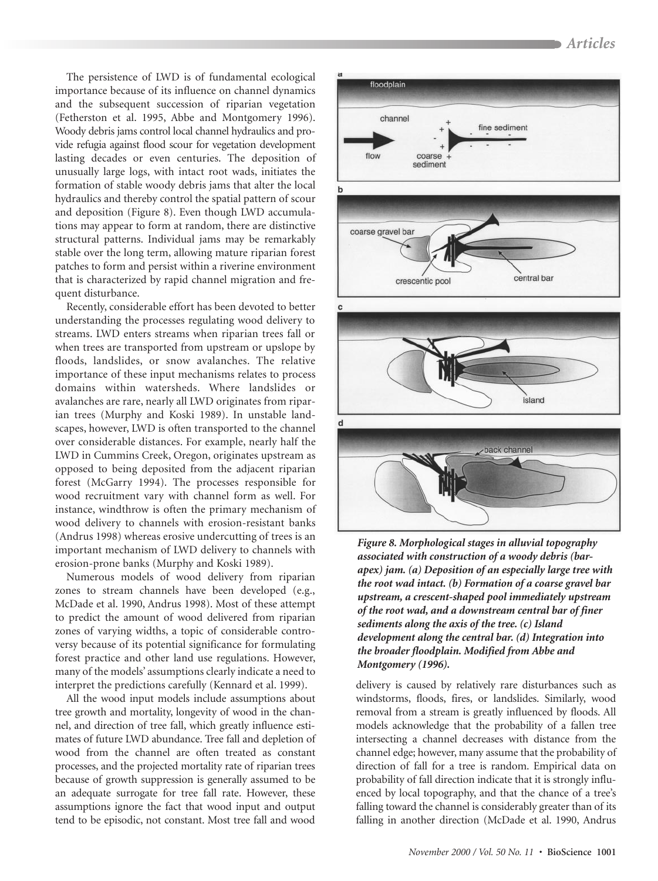The persistence of LWD is of fundamental ecological importance because of its influence on channel dynamics and the subsequent succession of riparian vegetation (Fetherston et al. 1995, Abbe and Montgomery 1996). Woody debris jams control local channel hydraulics and provide refugia against flood scour for vegetation development lasting decades or even centuries. The deposition of unusually large logs, with intact root wads, initiates the formation of stable woody debris jams that alter the local hydraulics and thereby control the spatial pattern of scour and deposition (Figure 8). Even though LWD accumulations may appear to form at random, there are distinctive structural patterns. Individual jams may be remarkably stable over the long term, allowing mature riparian forest patches to form and persist within a riverine environment that is characterized by rapid channel migration and frequent disturbance.

Recently, considerable effort has been devoted to better understanding the processes regulating wood delivery to streams. LWD enters streams when riparian trees fall or when trees are transported from upstream or upslope by floods, landslides, or snow avalanches. The relative importance of these input mechanisms relates to process domains within watersheds. Where landslides or avalanches are rare, nearly all LWD originates from riparian trees (Murphy and Koski 1989). In unstable landscapes, however, LWD is often transported to the channel over considerable distances. For example, nearly half the LWD in Cummins Creek, Oregon, originates upstream as opposed to being deposited from the adjacent riparian forest (McGarry 1994). The processes responsible for wood recruitment vary with channel form as well. For instance, windthrow is often the primary mechanism of wood delivery to channels with erosion-resistant banks (Andrus 1998) whereas erosive undercutting of trees is an important mechanism of LWD delivery to channels with erosion-prone banks (Murphy and Koski 1989).

Numerous models of wood delivery from riparian zones to stream channels have been developed (e.g., McDade et al. 1990, Andrus 1998). Most of these attempt to predict the amount of wood delivered from riparian zones of varying widths, a topic of considerable controversy because of its potential significance for formulating forest practice and other land use regulations. However, many of the models' assumptions clearly indicate a need to interpret the predictions carefully (Kennard et al. 1999).

All the wood input models include assumptions about tree growth and mortality, longevity of wood in the channel, and direction of tree fall, which greatly influence estimates of future LWD abundance. Tree fall and depletion of wood from the channel are often treated as constant processes, and the projected mortality rate of riparian trees because of growth suppression is generally assumed to be an adequate surrogate for tree fall rate. However, these assumptions ignore the fact that wood input and output tend to be episodic, not constant. Most tree fall and wood



*Figure 8. Morphological stages in alluvial topography associated with construction of a woody debris (barapex) jam. (a) Deposition of an especially large tree with the root wad intact. (b) Formation of a coarse gravel bar upstream, a crescent-shaped pool immediately upstream of the root wad, and a downstream central bar of finer sediments along the axis of the tree. (c) Island development along the central bar. (d) Integration into the broader floodplain. Modified from Abbe and Montgomery (1996).*

delivery is caused by relatively rare disturbances such as windstorms, floods, fires, or landslides. Similarly, wood removal from a stream is greatly influenced by floods. All models acknowledge that the probability of a fallen tree intersecting a channel decreases with distance from the channel edge; however, many assume that the probability of direction of fall for a tree is random. Empirical data on probability of fall direction indicate that it is strongly influenced by local topography, and that the chance of a tree's falling toward the channel is considerably greater than of its falling in another direction (McDade et al. 1990, Andrus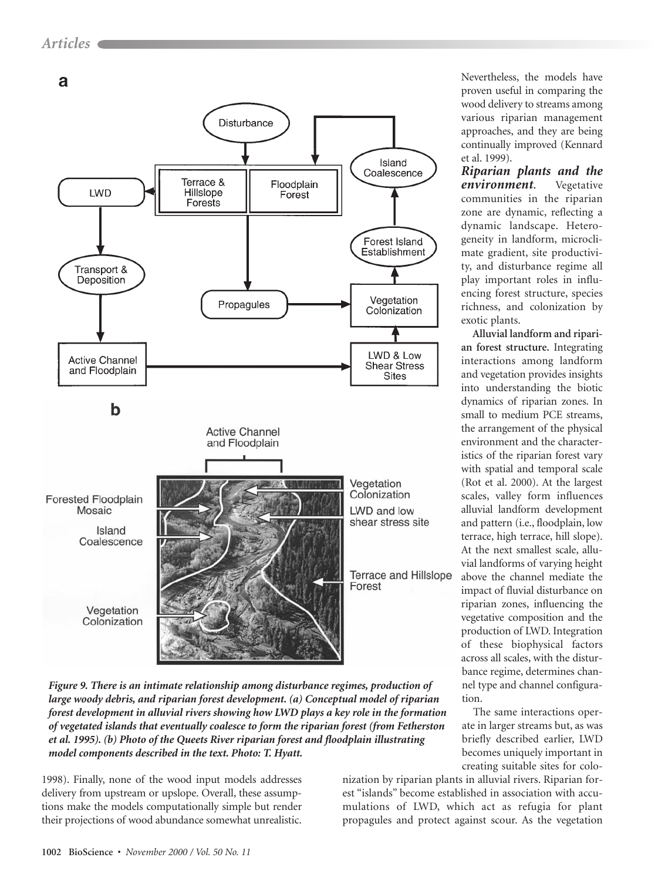

*Figure 9. There is an intimate relationship among disturbance regimes, production of large woody debris, and riparian forest development. (a) Conceptual model of riparian forest development in alluvial rivers showing how LWD plays a key role in the formation of vegetated islands that eventually coalesce to form the riparian forest (from Fetherston et al. 1995). (b) Photo of the Queets River riparian forest and floodplain illustrating model components described in the text. Photo: T. Hyatt.*

1998). Finally, none of the wood input models addresses delivery from upstream or upslope. Overall, these assumptions make the models computationally simple but render their projections of wood abundance somewhat unrealistic.

Nevertheless, the models have proven useful in comparing the wood delivery to streams among various riparian management approaches, and they are being continually improved (Kennard et al. 1999).

*Riparian plants and the environment***.** Vegetative communities in the riparian zone are dynamic, reflecting a dynamic landscape. Heterogeneity in landform, microclimate gradient, site productivity, and disturbance regime all play important roles in influencing forest structure, species richness, and colonization by exotic plants.

**Alluvial landform and riparian forest structure.** Integrating interactions among landform and vegetation provides insights into understanding the biotic dynamics of riparian zones. In small to medium PCE streams, the arrangement of the physical environment and the characteristics of the riparian forest vary with spatial and temporal scale (Rot et al. 2000). At the largest scales, valley form influences alluvial landform development and pattern (i.e., floodplain, low terrace, high terrace, hill slope). At the next smallest scale, alluvial landforms of varying height above the channel mediate the impact of fluvial disturbance on riparian zones, influencing the vegetative composition and the production of LWD. Integration of these biophysical factors across all scales, with the disturbance regime, determines channel type and channel configuration.

The same interactions operate in larger streams but, as was briefly described earlier, LWD becomes uniquely important in creating suitable sites for colo-

nization by riparian plants in alluvial rivers. Riparian forest "islands" become established in association with accumulations of LWD, which act as refugia for plant propagules and protect against scour. As the vegetation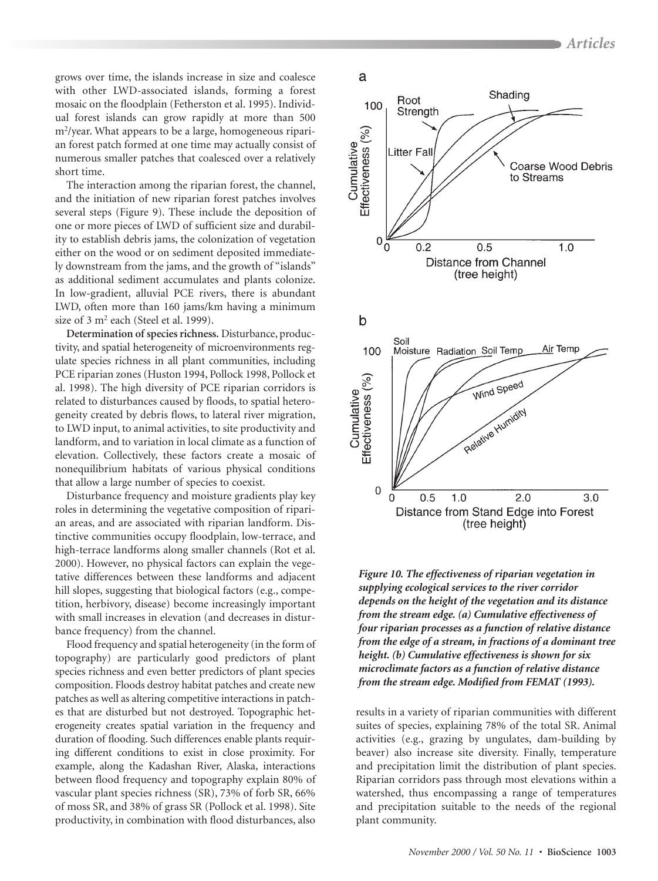grows over time, the islands increase in size and coalesce with other LWD-associated islands, forming a forest mosaic on the floodplain (Fetherston et al. 1995). Individual forest islands can grow rapidly at more than 500 m2 /year. What appears to be a large, homogeneous riparian forest patch formed at one time may actually consist of numerous smaller patches that coalesced over a relatively short time.

The interaction among the riparian forest, the channel, and the initiation of new riparian forest patches involves several steps (Figure 9). These include the deposition of one or more pieces of LWD of sufficient size and durability to establish debris jams, the colonization of vegetation either on the wood or on sediment deposited immediately downstream from the jams, and the growth of "islands" as additional sediment accumulates and plants colonize. In low-gradient, alluvial PCE rivers, there is abundant LWD, often more than 160 jams/km having a minimum size of 3  $m<sup>2</sup>$  each (Steel et al. 1999).

**Determination of species richness.** Disturbance, productivity, and spatial heterogeneity of microenvironments regulate species richness in all plant communities, including PCE riparian zones (Huston 1994, Pollock 1998, Pollock et al. 1998). The high diversity of PCE riparian corridors is related to disturbances caused by floods, to spatial heterogeneity created by debris flows, to lateral river migration, to LWD input, to animal activities, to site productivity and landform, and to variation in local climate as a function of elevation. Collectively, these factors create a mosaic of nonequilibrium habitats of various physical conditions that allow a large number of species to coexist.

Disturbance frequency and moisture gradients play key roles in determining the vegetative composition of riparian areas, and are associated with riparian landform. Distinctive communities occupy floodplain, low-terrace, and high-terrace landforms along smaller channels (Rot et al. 2000). However, no physical factors can explain the vegetative differences between these landforms and adjacent hill slopes, suggesting that biological factors (e.g., competition, herbivory, disease) become increasingly important with small increases in elevation (and decreases in disturbance frequency) from the channel.

Flood frequency and spatial heterogeneity (in the form of topography) are particularly good predictors of plant species richness and even better predictors of plant species composition. Floods destroy habitat patches and create new patches as well as altering competitive interactions in patches that are disturbed but not destroyed. Topographic heterogeneity creates spatial variation in the frequency and duration of flooding. Such differences enable plants requiring different conditions to exist in close proximity. For example, along the Kadashan River, Alaska, interactions between flood frequency and topography explain 80% of vascular plant species richness (SR), 73% of forb SR, 66% of moss SR, and 38% of grass SR (Pollock et al. 1998). Site productivity, in combination with flood disturbances, also



*Figure 10. The effectiveness of riparian vegetation in supplying ecological services to the river corridor depends on the height of the vegetation and its distance from the stream edge. (a) Cumulative effectiveness of four riparian processes as a function of relative distance from the edge of a stream, in fractions of a dominant tree height. (b) Cumulative effectiveness is shown for six microclimate factors as a function of relative distance from the stream edge. Modified from FEMAT (1993).*

results in a variety of riparian communities with different suites of species, explaining 78% of the total SR. Animal activities (e.g., grazing by ungulates, dam-building by beaver) also increase site diversity. Finally, temperature and precipitation limit the distribution of plant species. Riparian corridors pass through most elevations within a watershed, thus encompassing a range of temperatures and precipitation suitable to the needs of the regional plant community.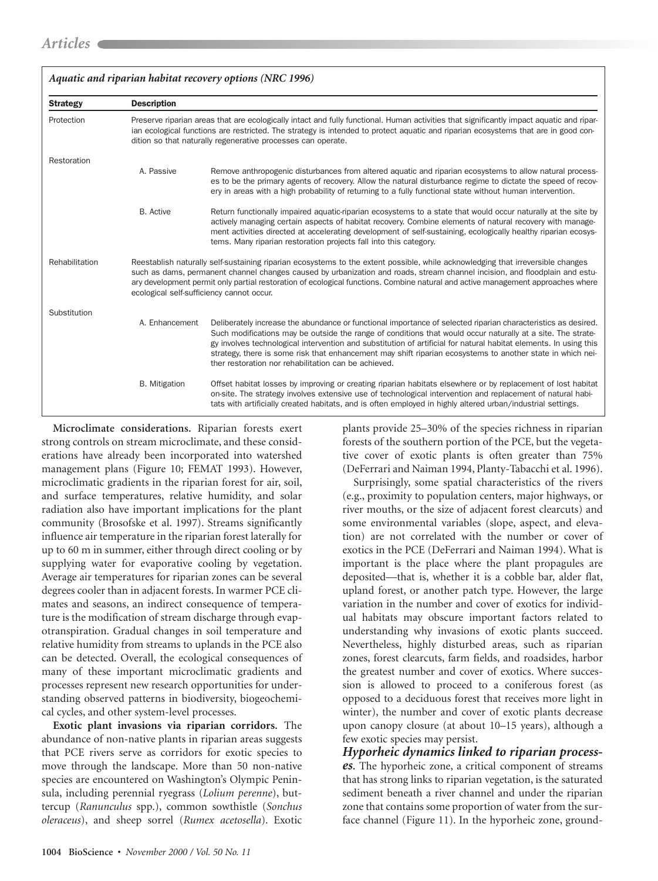| <b>Strategy</b> | <b>Description</b>                                                                                                                                                                                                                                                                                                                                                                                                                             |                                                                                                                                                                                                                                                                                                                                                                                                                                                                                                                         |  |  |  |  |
|-----------------|------------------------------------------------------------------------------------------------------------------------------------------------------------------------------------------------------------------------------------------------------------------------------------------------------------------------------------------------------------------------------------------------------------------------------------------------|-------------------------------------------------------------------------------------------------------------------------------------------------------------------------------------------------------------------------------------------------------------------------------------------------------------------------------------------------------------------------------------------------------------------------------------------------------------------------------------------------------------------------|--|--|--|--|
| Protection      | Preserve riparian areas that are ecologically intact and fully functional. Human activities that significantly impact aquatic and ripar-<br>ian ecological functions are restricted. The strategy is intended to protect aquatic and riparian ecosystems that are in good con-<br>dition so that naturally regenerative processes can operate.                                                                                                 |                                                                                                                                                                                                                                                                                                                                                                                                                                                                                                                         |  |  |  |  |
| Restoration     |                                                                                                                                                                                                                                                                                                                                                                                                                                                |                                                                                                                                                                                                                                                                                                                                                                                                                                                                                                                         |  |  |  |  |
|                 | A. Passive                                                                                                                                                                                                                                                                                                                                                                                                                                     | Remove anthropogenic disturbances from altered aquatic and riparian ecosystems to allow natural process-<br>es to be the primary agents of recovery. Allow the natural disturbance regime to dictate the speed of recov-<br>ery in areas with a high probability of returning to a fully functional state without human intervention.                                                                                                                                                                                   |  |  |  |  |
|                 | <b>B.</b> Active                                                                                                                                                                                                                                                                                                                                                                                                                               | Return functionally impaired aquatic-riparian ecosystems to a state that would occur naturally at the site by<br>actively managing certain aspects of habitat recovery. Combine elements of natural recovery with manage-<br>ment activities directed at accelerating development of self-sustaining, ecologically healthy riparian ecosys-<br>tems. Many riparian restoration projects fall into this category.                                                                                                        |  |  |  |  |
| Rehabilitation  | Reestablish naturally self-sustaining riparian ecosystems to the extent possible, while acknowledging that irreversible changes<br>such as dams, permanent channel changes caused by urbanization and roads, stream channel incision, and floodplain and estu-<br>ary development permit only partial restoration of ecological functions. Combine natural and active management approaches where<br>ecological self-sufficiency cannot occur. |                                                                                                                                                                                                                                                                                                                                                                                                                                                                                                                         |  |  |  |  |
| Substitution    |                                                                                                                                                                                                                                                                                                                                                                                                                                                |                                                                                                                                                                                                                                                                                                                                                                                                                                                                                                                         |  |  |  |  |
|                 | A. Enhancement                                                                                                                                                                                                                                                                                                                                                                                                                                 | Deliberately increase the abundance or functional importance of selected riparian characteristics as desired.<br>Such modifications may be outside the range of conditions that would occur naturally at a site. The strate-<br>gy involves technological intervention and substitution of artificial for natural habitat elements. In using this<br>strategy, there is some risk that enhancement may shift riparian ecosystems to another state in which nei-<br>ther restoration nor rehabilitation can be achieved. |  |  |  |  |
|                 | <b>B.</b> Mitigation                                                                                                                                                                                                                                                                                                                                                                                                                           | Offset habitat losses by improving or creating riparian habitats elsewhere or by replacement of lost habitat<br>on-site. The strategy involves extensive use of technological intervention and replacement of natural habi-<br>tats with artificially created habitats, and is often employed in highly altered urban/industrial settings.                                                                                                                                                                              |  |  |  |  |

**Microclimate considerations.** Riparian forests exert strong controls on stream microclimate, and these considerations have already been incorporated into watershed management plans (Figure 10; FEMAT 1993). However, microclimatic gradients in the riparian forest for air, soil, and surface temperatures, relative humidity, and solar radiation also have important implications for the plant community (Brosofske et al. 1997). Streams significantly influence air temperature in the riparian forest laterally for up to 60 m in summer, either through direct cooling or by supplying water for evaporative cooling by vegetation. Average air temperatures for riparian zones can be several degrees cooler than in adjacent forests. In warmer PCE climates and seasons, an indirect consequence of temperature is the modification of stream discharge through evapotranspiration. Gradual changes in soil temperature and relative humidity from streams to uplands in the PCE also can be detected. Overall, the ecological consequences of many of these important microclimatic gradients and processes represent new research opportunities for understanding observed patterns in biodiversity, biogeochemical cycles, and other system-level processes.

**Exotic plant invasions via riparian corridors.** The abundance of non-native plants in riparian areas suggests that PCE rivers serve as corridors for exotic species to move through the landscape. More than 50 non-native species are encountered on Washington's Olympic Peninsula, including perennial ryegrass (*Lolium perenne*), buttercup (*Ranunculus* spp.), common sowthistle (*Sonchus oleraceus*), and sheep sorrel (*Rumex acetosella*). Exotic

plants provide 25–30% of the species richness in riparian forests of the southern portion of the PCE, but the vegetative cover of exotic plants is often greater than 75% (DeFerrari and Naiman 1994, Planty-Tabacchi et al. 1996).

Surprisingly, some spatial characteristics of the rivers (e.g., proximity to population centers, major highways, or river mouths, or the size of adjacent forest clearcuts) and some environmental variables (slope, aspect, and elevation) are not correlated with the number or cover of exotics in the PCE (DeFerrari and Naiman 1994). What is important is the place where the plant propagules are deposited—that is, whether it is a cobble bar, alder flat, upland forest, or another patch type. However, the large variation in the number and cover of exotics for individual habitats may obscure important factors related to understanding why invasions of exotic plants succeed. Nevertheless, highly disturbed areas, such as riparian zones, forest clearcuts, farm fields, and roadsides, harbor the greatest number and cover of exotics. Where succession is allowed to proceed to a coniferous forest (as opposed to a deciduous forest that receives more light in winter), the number and cover of exotic plants decrease upon canopy closure (at about 10–15 years), although a few exotic species may persist.

*Hyporheic dynamics linked to riparian processes***.** The hyporheic zone, a critical component of streams that has strong links to riparian vegetation, is the saturated sediment beneath a river channel and under the riparian zone that contains some proportion of water from the surface channel (Figure 11). In the hyporheic zone, ground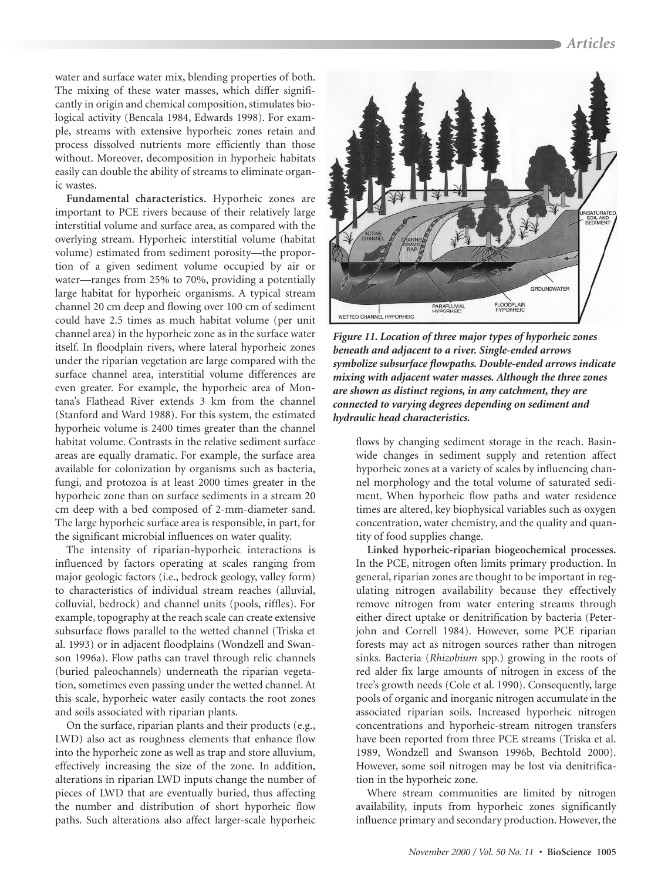water and surface water mix, blending properties of both. The mixing of these water masses, which differ significantly in origin and chemical composition, stimulates biological activity (Bencala 1984, Edwards 1998). For example, streams with extensive hyporheic zones retain and process dissolved nutrients more efficiently than those without. Moreover, decomposition in hyporheic habitats easily can double the ability of streams to eliminate organic wastes.

**Fundamental characteristics.** Hyporheic zones are important to PCE rivers because of their relatively large interstitial volume and surface area, as compared with the overlying stream. Hyporheic interstitial volume (habitat volume) estimated from sediment porosity—the proportion of a given sediment volume occupied by air or water—ranges from 25% to 70%, providing a potentially large habitat for hyporheic organisms. A typical stream channel 20 cm deep and flowing over 100 cm of sediment could have 2.5 times as much habitat volume (per unit channel area) in the hyporheic zone as in the surface water itself. In floodplain rivers, where lateral hyporheic zones under the riparian vegetation are large compared with the surface channel area, interstitial volume differences are even greater. For example, the hyporheic area of Montana's Flathead River extends 3 km from the channel (Stanford and Ward 1988). For this system, the estimated hyporheic volume is 2400 times greater than the channel habitat volume. Contrasts in the relative sediment surface areas are equally dramatic. For example, the surface area available for colonization by organisms such as bacteria, fungi, and protozoa is at least 2000 times greater in the hyporheic zone than on surface sediments in a stream 20 cm deep with a bed composed of 2-mm-diameter sand. The large hyporheic surface area is responsible, in part, for the significant microbial influences on water quality.

The intensity of riparian-hyporheic interactions is influenced by factors operating at scales ranging from major geologic factors (i.e., bedrock geology, valley form) to characteristics of individual stream reaches (alluvial, colluvial, bedrock) and channel units (pools, riffles). For example, topography at the reach scale can create extensive subsurface flows parallel to the wetted channel (Triska et al. 1993) or in adjacent floodplains (Wondzell and Swanson 1996a). Flow paths can travel through relic channels (buried paleochannels) underneath the riparian vegetation, sometimes even passing under the wetted channel. At this scale, hyporheic water easily contacts the root zones and soils associated with riparian plants.

On the surface, riparian plants and their products (e.g., LWD) also act as roughness elements that enhance flow into the hyporheic zone as well as trap and store alluvium, effectively increasing the size of the zone. In addition, alterations in riparian LWD inputs change the number of pieces of LWD that are eventually buried, thus affecting the number and distribution of short hyporheic flow paths. Such alterations also affect larger-scale hyporheic



*Figure 11. Location of three major types of hyporheic zones beneath and adjacent to a river. Single-ended arrows symbolize subsurface flowpaths. Double-ended arrows indicate mixing with adjacent water masses. Although the three zones are shown as distinct regions, in any catchment, they are connected to varying degrees depending on sediment and hydraulic head characteristics.*

flows by changing sediment storage in the reach. Basinwide changes in sediment supply and retention affect hyporheic zones at a variety of scales by influencing channel morphology and the total volume of saturated sediment. When hyporheic flow paths and water residence times are altered, key biophysical variables such as oxygen concentration, water chemistry, and the quality and quantity of food supplies change.

**Linked hyporheic-riparian biogeochemical processes.** In the PCE, nitrogen often limits primary production. In general, riparian zones are thought to be important in regulating nitrogen availability because they effectively remove nitrogen from water entering streams through either direct uptake or denitrification by bacteria (Peterjohn and Correll 1984). However, some PCE riparian forests may act as nitrogen sources rather than nitrogen sinks. Bacteria (*Rhizobium* spp.) growing in the roots of red alder fix large amounts of nitrogen in excess of the tree's growth needs (Cole et al. 1990). Consequently, large pools of organic and inorganic nitrogen accumulate in the associated riparian soils. Increased hyporheic nitrogen concentrations and hyporheic-stream nitrogen transfers have been reported from three PCE streams (Triska et al. 1989, Wondzell and Swanson 1996b, Bechtold 2000). However, some soil nitrogen may be lost via denitrification in the hyporheic zone.

Where stream communities are limited by nitrogen availability, inputs from hyporheic zones significantly influence primary and secondary production. However, the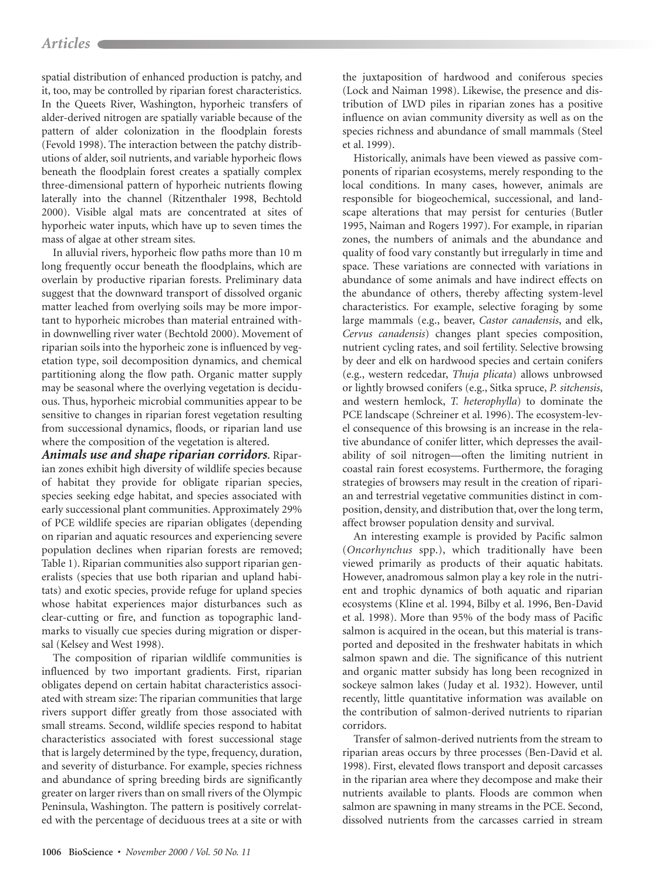spatial distribution of enhanced production is patchy, and it, too, may be controlled by riparian forest characteristics. In the Queets River, Washington, hyporheic transfers of alder-derived nitrogen are spatially variable because of the pattern of alder colonization in the floodplain forests (Fevold 1998). The interaction between the patchy distributions of alder, soil nutrients, and variable hyporheic flows beneath the floodplain forest creates a spatially complex three-dimensional pattern of hyporheic nutrients flowing laterally into the channel (Ritzenthaler 1998, Bechtold 2000). Visible algal mats are concentrated at sites of hyporheic water inputs, which have up to seven times the mass of algae at other stream sites.

In alluvial rivers, hyporheic flow paths more than 10 m long frequently occur beneath the floodplains, which are overlain by productive riparian forests. Preliminary data suggest that the downward transport of dissolved organic matter leached from overlying soils may be more important to hyporheic microbes than material entrained within downwelling river water (Bechtold 2000). Movement of riparian soils into the hyporheic zone is influenced by vegetation type, soil decomposition dynamics, and chemical partitioning along the flow path. Organic matter supply may be seasonal where the overlying vegetation is deciduous. Thus, hyporheic microbial communities appear to be sensitive to changes in riparian forest vegetation resulting from successional dynamics, floods, or riparian land use where the composition of the vegetation is altered.

*Animals use and shape riparian corridors***.** Riparian zones exhibit high diversity of wildlife species because of habitat they provide for obligate riparian species, species seeking edge habitat, and species associated with early successional plant communities. Approximately 29% of PCE wildlife species are riparian obligates (depending on riparian and aquatic resources and experiencing severe population declines when riparian forests are removed; Table 1). Riparian communities also support riparian generalists (species that use both riparian and upland habitats) and exotic species, provide refuge for upland species whose habitat experiences major disturbances such as clear-cutting or fire, and function as topographic landmarks to visually cue species during migration or dispersal (Kelsey and West 1998).

The composition of riparian wildlife communities is influenced by two important gradients. First, riparian obligates depend on certain habitat characteristics associated with stream size: The riparian communities that large rivers support differ greatly from those associated with small streams. Second, wildlife species respond to habitat characteristics associated with forest successional stage that is largely determined by the type, frequency, duration, and severity of disturbance. For example, species richness and abundance of spring breeding birds are significantly greater on larger rivers than on small rivers of the Olympic Peninsula, Washington. The pattern is positively correlated with the percentage of deciduous trees at a site or with the juxtaposition of hardwood and coniferous species (Lock and Naiman 1998). Likewise, the presence and distribution of LWD piles in riparian zones has a positive influence on avian community diversity as well as on the species richness and abundance of small mammals (Steel et al. 1999).

Historically, animals have been viewed as passive components of riparian ecosystems, merely responding to the local conditions. In many cases, however, animals are responsible for biogeochemical, successional, and landscape alterations that may persist for centuries (Butler 1995, Naiman and Rogers 1997). For example, in riparian zones, the numbers of animals and the abundance and quality of food vary constantly but irregularly in time and space. These variations are connected with variations in abundance of some animals and have indirect effects on the abundance of others, thereby affecting system-level characteristics. For example, selective foraging by some large mammals (e.g., beaver, *Castor canadensis*, and elk, *Cervus canadensis*) changes plant species composition, nutrient cycling rates, and soil fertility. Selective browsing by deer and elk on hardwood species and certain conifers (e.g., western redcedar, *Thuja plicata*) allows unbrowsed or lightly browsed conifers (e.g., Sitka spruce, *P. sitchensis*, and western hemlock, *T. heterophylla*) to dominate the PCE landscape (Schreiner et al. 1996). The ecosystem-level consequence of this browsing is an increase in the relative abundance of conifer litter, which depresses the availability of soil nitrogen—often the limiting nutrient in coastal rain forest ecosystems. Furthermore, the foraging strategies of browsers may result in the creation of riparian and terrestrial vegetative communities distinct in composition, density, and distribution that, over the long term, affect browser population density and survival.

An interesting example is provided by Pacific salmon (*Oncorhynchus* spp.), which traditionally have been viewed primarily as products of their aquatic habitats. However, anadromous salmon play a key role in the nutrient and trophic dynamics of both aquatic and riparian ecosystems (Kline et al. 1994, Bilby et al. 1996, Ben-David et al. 1998). More than 95% of the body mass of Pacific salmon is acquired in the ocean, but this material is transported and deposited in the freshwater habitats in which salmon spawn and die. The significance of this nutrient and organic matter subsidy has long been recognized in sockeye salmon lakes (Juday et al. 1932). However, until recently, little quantitative information was available on the contribution of salmon-derived nutrients to riparian corridors.

Transfer of salmon-derived nutrients from the stream to riparian areas occurs by three processes (Ben-David et al. 1998). First, elevated flows transport and deposit carcasses in the riparian area where they decompose and make their nutrients available to plants. Floods are common when salmon are spawning in many streams in the PCE. Second, dissolved nutrients from the carcasses carried in stream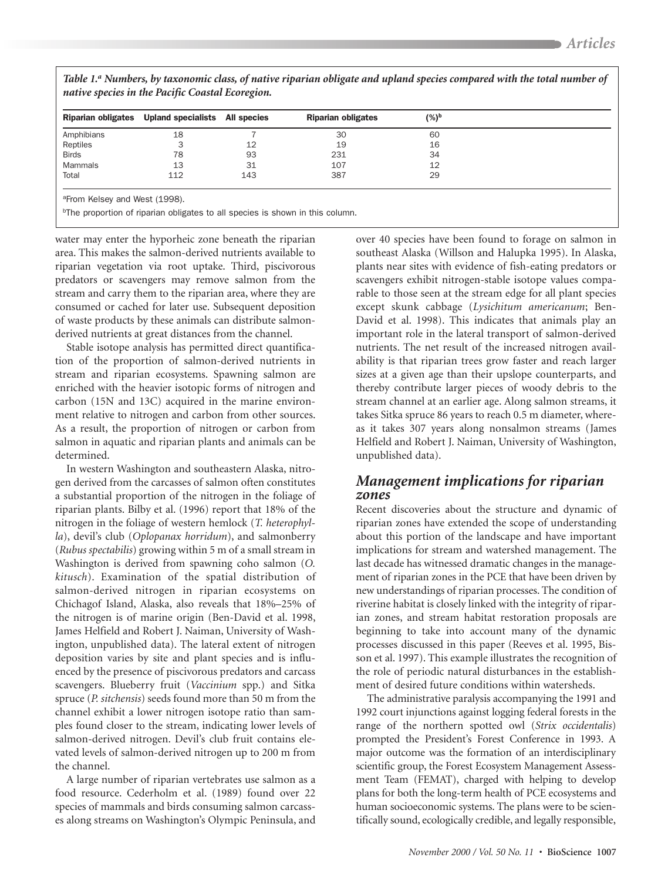|              | Riparian obligates Upland specialists All species |     | <b>Riparian obligates</b> | $(%)^b$ |  |
|--------------|---------------------------------------------------|-----|---------------------------|---------|--|
| Amphibians   | 18                                                |     | 30                        | 60      |  |
| Reptiles     |                                                   | 12  | 19                        | 16      |  |
| <b>Birds</b> | 78                                                | 93  | 231                       | 34      |  |
| Mammals      | 13                                                | 31  | 107                       | 12      |  |
| Total        | 112                                               | 143 | 387                       | 29      |  |

*Table 1.a Numbers, by taxonomic class, of native riparian obligate and upland species compared with the total number of native species in the Pacific Coastal Ecoregion.*

<sup>a</sup>From Kelsey and West (1998).

<sup>b</sup>The proportion of riparian obligates to all species is shown in this column.

water may enter the hyporheic zone beneath the riparian area. This makes the salmon-derived nutrients available to riparian vegetation via root uptake. Third, piscivorous predators or scavengers may remove salmon from the stream and carry them to the riparian area, where they are consumed or cached for later use. Subsequent deposition of waste products by these animals can distribute salmonderived nutrients at great distances from the channel.

Stable isotope analysis has permitted direct quantification of the proportion of salmon-derived nutrients in stream and riparian ecosystems. Spawning salmon are enriched with the heavier isotopic forms of nitrogen and carbon (15N and 13C) acquired in the marine environment relative to nitrogen and carbon from other sources. As a result, the proportion of nitrogen or carbon from salmon in aquatic and riparian plants and animals can be determined.

In western Washington and southeastern Alaska, nitrogen derived from the carcasses of salmon often constitutes a substantial proportion of the nitrogen in the foliage of riparian plants. Bilby et al. (1996) report that 18% of the nitrogen in the foliage of western hemlock (*T. heterophylla*), devil's club (*Oplopanax horridum*), and salmonberry (*Rubus spectabilis*) growing within 5 m of a small stream in Washington is derived from spawning coho salmon (*O. kitusch*). Examination of the spatial distribution of salmon-derived nitrogen in riparian ecosystems on Chichagof Island, Alaska, also reveals that 18%–25% of the nitrogen is of marine origin (Ben-David et al. 1998, James Helfield and Robert J. Naiman, University of Washington, unpublished data). The lateral extent of nitrogen deposition varies by site and plant species and is influenced by the presence of piscivorous predators and carcass scavengers. Blueberry fruit (*Vaccinium* spp.) and Sitka spruce (*P. sitchensis*) seeds found more than 50 m from the channel exhibit a lower nitrogen isotope ratio than samples found closer to the stream, indicating lower levels of salmon-derived nitrogen. Devil's club fruit contains elevated levels of salmon-derived nitrogen up to 200 m from the channel.

A large number of riparian vertebrates use salmon as a food resource. Cederholm et al. (1989) found over 22 species of mammals and birds consuming salmon carcasses along streams on Washington's Olympic Peninsula, and

over 40 species have been found to forage on salmon in southeast Alaska (Willson and Halupka 1995). In Alaska, plants near sites with evidence of fish-eating predators or scavengers exhibit nitrogen-stable isotope values comparable to those seen at the stream edge for all plant species except skunk cabbage (*Lysichitum americanum*; Ben-David et al. 1998). This indicates that animals play an important role in the lateral transport of salmon-derived nutrients. The net result of the increased nitrogen availability is that riparian trees grow faster and reach larger sizes at a given age than their upslope counterparts, and thereby contribute larger pieces of woody debris to the stream channel at an earlier age. Along salmon streams, it takes Sitka spruce 86 years to reach 0.5 m diameter, whereas it takes 307 years along nonsalmon streams (James Helfield and Robert J. Naiman, University of Washington, unpublished data).

### *Management implications for riparian zones*

Recent discoveries about the structure and dynamic of riparian zones have extended the scope of understanding about this portion of the landscape and have important implications for stream and watershed management. The last decade has witnessed dramatic changes in the management of riparian zones in the PCE that have been driven by new understandings of riparian processes. The condition of riverine habitat is closely linked with the integrity of riparian zones, and stream habitat restoration proposals are beginning to take into account many of the dynamic processes discussed in this paper (Reeves et al. 1995, Bisson et al. 1997). This example illustrates the recognition of the role of periodic natural disturbances in the establishment of desired future conditions within watersheds.

The administrative paralysis accompanying the 1991 and 1992 court injunctions against logging federal forests in the range of the northern spotted owl (*Strix occidentalis*) prompted the President's Forest Conference in 1993. A major outcome was the formation of an interdisciplinary scientific group, the Forest Ecosystem Management Assessment Team (FEMAT), charged with helping to develop plans for both the long-term health of PCE ecosystems and human socioeconomic systems. The plans were to be scientifically sound, ecologically credible, and legally responsible,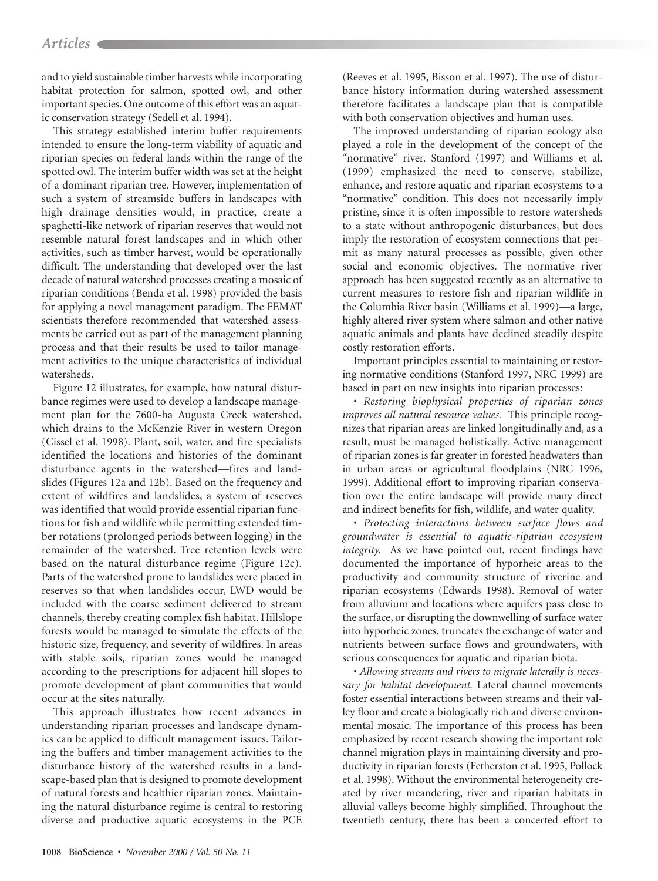#### *Articles*

and to yield sustainable timber harvests while incorporating habitat protection for salmon, spotted owl, and other important species. One outcome of this effort was an aquatic conservation strategy (Sedell et al. 1994).

This strategy established interim buffer requirements intended to ensure the long-term viability of aquatic and riparian species on federal lands within the range of the spotted owl. The interim buffer width was set at the height of a dominant riparian tree. However, implementation of such a system of streamside buffers in landscapes with high drainage densities would, in practice, create a spaghetti-like network of riparian reserves that would not resemble natural forest landscapes and in which other activities, such as timber harvest, would be operationally difficult. The understanding that developed over the last decade of natural watershed processes creating a mosaic of riparian conditions (Benda et al. 1998) provided the basis for applying a novel management paradigm. The FEMAT scientists therefore recommended that watershed assessments be carried out as part of the management planning process and that their results be used to tailor management activities to the unique characteristics of individual watersheds.

Figure 12 illustrates, for example, how natural disturbance regimes were used to develop a landscape management plan for the 7600-ha Augusta Creek watershed, which drains to the McKenzie River in western Oregon (Cissel et al. 1998). Plant, soil, water, and fire specialists identified the locations and histories of the dominant disturbance agents in the watershed—fires and landslides (Figures 12a and 12b). Based on the frequency and extent of wildfires and landslides, a system of reserves was identified that would provide essential riparian functions for fish and wildlife while permitting extended timber rotations (prolonged periods between logging) in the remainder of the watershed. Tree retention levels were based on the natural disturbance regime (Figure 12c). Parts of the watershed prone to landslides were placed in reserves so that when landslides occur, LWD would be included with the coarse sediment delivered to stream channels, thereby creating complex fish habitat. Hillslope forests would be managed to simulate the effects of the historic size, frequency, and severity of wildfires. In areas with stable soils, riparian zones would be managed according to the prescriptions for adjacent hill slopes to promote development of plant communities that would occur at the sites naturally.

This approach illustrates how recent advances in understanding riparian processes and landscape dynamics can be applied to difficult management issues. Tailoring the buffers and timber management activities to the disturbance history of the watershed results in a landscape-based plan that is designed to promote development of natural forests and healthier riparian zones. Maintaining the natural disturbance regime is central to restoring diverse and productive aquatic ecosystems in the PCE (Reeves et al. 1995, Bisson et al. 1997). The use of disturbance history information during watershed assessment therefore facilitates a landscape plan that is compatible with both conservation objectives and human uses.

The improved understanding of riparian ecology also played a role in the development of the concept of the "normative" river. Stanford (1997) and Williams et al. (1999) emphasized the need to conserve, stabilize, enhance, and restore aquatic and riparian ecosystems to a "normative" condition. This does not necessarily imply pristine, since it is often impossible to restore watersheds to a state without anthropogenic disturbances, but does imply the restoration of ecosystem connections that permit as many natural processes as possible, given other social and economic objectives. The normative river approach has been suggested recently as an alternative to current measures to restore fish and riparian wildlife in the Columbia River basin (Williams et al. 1999)—a large, highly altered river system where salmon and other native aquatic animals and plants have declined steadily despite costly restoration efforts.

Important principles essential to maintaining or restoring normative conditions (Stanford 1997, NRC 1999) are based in part on new insights into riparian processes:

• *Restoring biophysical properties of riparian zones improves all natural resource values.* This principle recognizes that riparian areas are linked longitudinally and, as a result, must be managed holistically. Active management of riparian zones is far greater in forested headwaters than in urban areas or agricultural floodplains (NRC 1996, 1999). Additional effort to improving riparian conservation over the entire landscape will provide many direct and indirect benefits for fish, wildlife, and water quality.

• *Protecting interactions between surface flows and groundwater is essential to aquatic-riparian ecosystem integrity.* As we have pointed out, recent findings have documented the importance of hyporheic areas to the productivity and community structure of riverine and riparian ecosystems (Edwards 1998). Removal of water from alluvium and locations where aquifers pass close to the surface, or disrupting the downwelling of surface water into hyporheic zones, truncates the exchange of water and nutrients between surface flows and groundwaters, with serious consequences for aquatic and riparian biota.

• *Allowing streams and rivers to migrate laterally is necessary for habitat development.* Lateral channel movements foster essential interactions between streams and their valley floor and create a biologically rich and diverse environmental mosaic. The importance of this process has been emphasized by recent research showing the important role channel migration plays in maintaining diversity and productivity in riparian forests (Fetherston et al. 1995, Pollock et al. 1998). Without the environmental heterogeneity created by river meandering, river and riparian habitats in alluvial valleys become highly simplified. Throughout the twentieth century, there has been a concerted effort to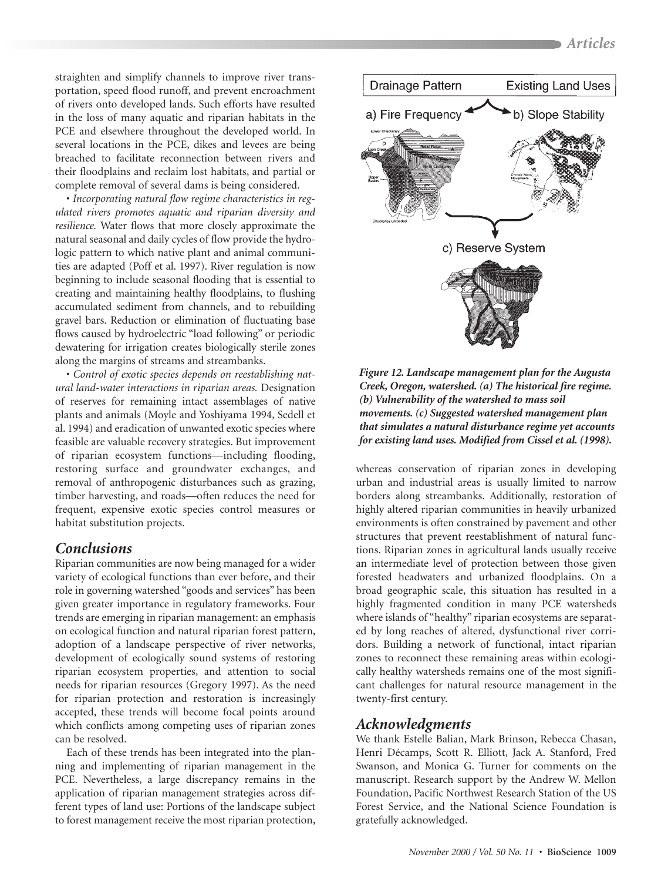straighten and simplify channels to improve river transportation, speed flood runoff, and prevent encroachment of rivers onto developed lands. Such efforts have resulted in the loss of many aquatic and riparian habitats in the PCE and elsewhere throughout the developed world. In several locations in the PCE, dikes and levees are being breached to facilitate reconnection between rivers and their floodplains and reclaim lost habitats, and partial or complete removal of several dams is being considered.

• *Incorporating natural flow regime characteristics in regulated rivers promotes aquatic and riparian diversity and resilience.* Water flows that more closely approximate the natural seasonal and daily cycles of flow provide the hydrologic pattern to which native plant and animal communities are adapted (Poff et al. 1997). River regulation is now beginning to include seasonal flooding that is essential to creating and maintaining healthy floodplains, to flushing accumulated sediment from channels, and to rebuilding gravel bars. Reduction or elimination of fluctuating base flows caused by hydroelectric "load following" or periodic dewatering for irrigation creates biologically sterile zones along the margins of streams and streambanks.

• *Control of exotic species depends on reestablishing natural land-water interactions in riparian areas.* Designation of reserves for remaining intact assemblages of native plants and animals (Moyle and Yoshiyama 1994, Sedell et al. 1994) and eradication of unwanted exotic species where feasible are valuable recovery strategies. But improvement of riparian ecosystem functions—including flooding, restoring surface and groundwater exchanges, and removal of anthropogenic disturbances such as grazing, timber harvesting, and roads—often reduces the need for frequent, expensive exotic species control measures or habitat substitution projects.

## *Conclusions*

Riparian communities are now being managed for a wider variety of ecological functions than ever before, and their role in governing watershed "goods and services" has been given greater importance in regulatory frameworks. Four trends are emerging in riparian management: an emphasis on ecological function and natural riparian forest pattern, adoption of a landscape perspective of river networks, development of ecologically sound systems of restoring riparian ecosystem properties, and attention to social needs for riparian resources (Gregory 1997). As the need for riparian protection and restoration is increasingly accepted, these trends will become focal points around which conflicts among competing uses of riparian zones can be resolved.

Each of these trends has been integrated into the planning and implementing of riparian management in the PCE. Nevertheless, a large discrepancy remains in the application of riparian management strategies across different types of land use: Portions of the landscape subject to forest management receive the most riparian protection,



*Figure 12. Landscape management plan for the Augusta Creek, Oregon, watershed. (a) The historical fire regime. (b) Vulnerability of the watershed to mass soil movements. (c) Suggested watershed management plan that simulates a natural disturbance regime yet accounts for existing land uses. Modified from Cissel et al. (1998).*

whereas conservation of riparian zones in developing urban and industrial areas is usually limited to narrow borders along streambanks. Additionally, restoration of highly altered riparian communities in heavily urbanized environments is often constrained by pavement and other structures that prevent reestablishment of natural functions. Riparian zones in agricultural lands usually receive an intermediate level of protection between those given forested headwaters and urbanized floodplains. On a broad geographic scale, this situation has resulted in a highly fragmented condition in many PCE watersheds where islands of "healthy" riparian ecosystems are separated by long reaches of altered, dysfunctional river corridors. Building a network of functional, intact riparian zones to reconnect these remaining areas within ecologically healthy watersheds remains one of the most significant challenges for natural resource management in the twenty-first century.

## *Acknowledgments*

We thank Estelle Balian, Mark Brinson, Rebecca Chasan, Henri Décamps, Scott R. Elliott, Jack A. Stanford, Fred Swanson, and Monica G. Turner for comments on the manuscript. Research support by the Andrew W. Mellon Foundation, Pacific Northwest Research Station of the US Forest Service, and the National Science Foundation is gratefully acknowledged.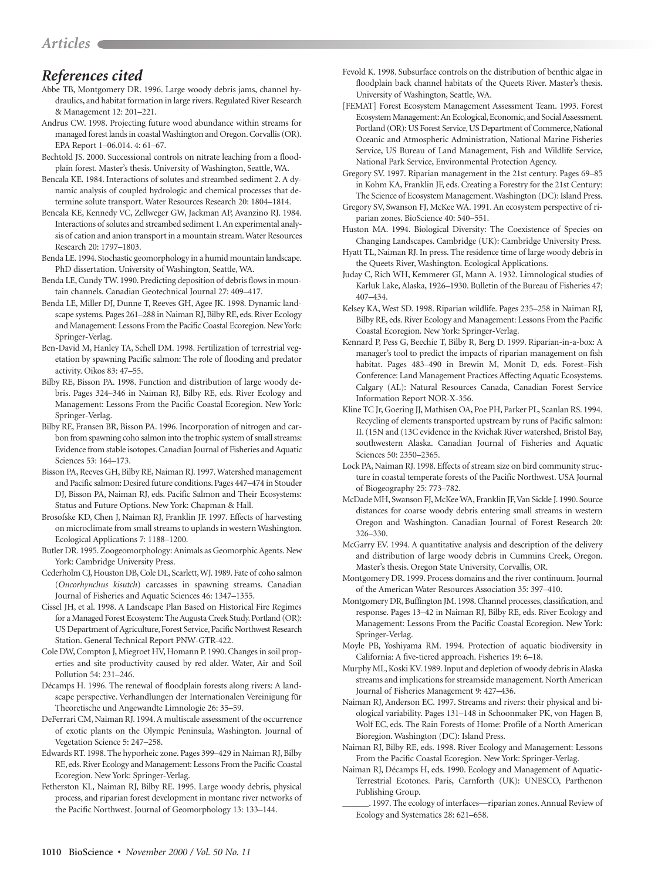#### *Articles*

## *References cited*

Abbe TB, Montgomery DR. 1996. Large woody debris jams, channel hydraulics, and habitat formation in large rivers. Regulated River Research & Management 12: 201–221.

Andrus CW. 1998. Projecting future wood abundance within streams for managed forest lands in coastal Washington and Oregon. Corvallis (OR). EPA Report 1–06.014. 4: 61–67.

Bechtold JS. 2000. Successional controls on nitrate leaching from a floodplain forest. Master's thesis. University of Washington, Seattle, WA.

Bencala KE. 1984. Interactions of solutes and streambed sediment 2. A dynamic analysis of coupled hydrologic and chemical processes that determine solute transport. Water Resources Research 20: 1804–1814.

Bencala KE, Kennedy VC, Zellweger GW, Jackman AP, Avanzino RJ. 1984. Interactions of solutes and streambed sediment 1.An experimental analysis of cation and anion transport in a mountain stream. Water Resources Research 20: 1797–1803.

Benda LE. 1994. Stochastic geomorphology in a humid mountain landscape. PhD dissertation. University of Washington, Seattle, WA.

Benda LE, Cundy TW. 1990. Predicting deposition of debris flows in mountain channels. Canadian Geotechnical Journal 27: 409–417.

Benda LE, Miller DJ, Dunne T, Reeves GH, Agee JK. 1998. Dynamic landscape systems. Pages 261–288 in Naiman RJ, Bilby RE, eds. River Ecology and Management: Lessons From the Pacific Coastal Ecoregion. New York: Springer-Verlag.

Ben-David M, Hanley TA, Schell DM. 1998. Fertilization of terrestrial vegetation by spawning Pacific salmon: The role of flooding and predator activity. Oikos 83: 47–55.

Bilby RE, Bisson PA. 1998. Function and distribution of large woody debris. Pages 324–346 in Naiman RJ, Bilby RE, eds. River Ecology and Management: Lessons From the Pacific Coastal Ecoregion. New York: Springer-Verlag.

Bilby RE, Fransen BR, Bisson PA. 1996. Incorporation of nitrogen and carbon from spawning coho salmon into the trophic system of small streams: Evidence from stable isotopes. Canadian Journal of Fisheries and Aquatic Sciences 53: 164–173.

Bisson PA, Reeves GH, Bilby RE, Naiman RJ. 1997. Watershed management and Pacific salmon: Desired future conditions. Pages 447–474 in Stouder DJ, Bisson PA, Naiman RJ, eds. Pacific Salmon and Their Ecosystems: Status and Future Options. New York: Chapman & Hall.

Brosofske KD, Chen J, Naiman RJ, Franklin JF. 1997. Effects of harvesting on microclimate from small streams to uplands in western Washington. Ecological Applications 7: 1188–1200.

Butler DR. 1995. Zoogeomorphology: Animals as Geomorphic Agents. New York: Cambridge University Press.

Cederholm CJ, Houston DB, Cole DL, Scarlett,WJ. 1989. Fate of coho salmon (*Oncorhynchus kisutch*) carcasses in spawning streams. Canadian Journal of Fisheries and Aquatic Sciences 46: 1347–1355.

Cissel JH, et al. 1998. A Landscape Plan Based on Historical Fire Regimes for a Managed Forest Ecosystem: The Augusta Creek Study. Portland (OR): US Department of Agriculture, Forest Service, Pacific Northwest Research Station. General Technical Report PNW-GTR-422.

Cole DW, Compton J, Miegroet HV, Homann P. 1990. Changes in soil properties and site productivity caused by red alder. Water, Air and Soil Pollution 54: 231–246.

Décamps H. 1996. The renewal of floodplain forests along rivers: A landscape perspective. Verhandlungen der Internationalen Vereinigung für Theoretische und Angewandte Limnologie 26: 35–59.

DeFerrari CM, Naiman RJ. 1994. A multiscale assessment of the occurrence of exotic plants on the Olympic Peninsula, Washington. Journal of Vegetation Science 5: 247–258.

Edwards RT. 1998. The hyporheic zone. Pages 399–429 in Naiman RJ, Bilby RE, eds. River Ecology and Management: Lessons From the Pacific Coastal Ecoregion. New York: Springer-Verlag.

Fetherston KL, Naiman RJ, Bilby RE. 1995. Large woody debris, physical process, and riparian forest development in montane river networks of the Pacific Northwest. Journal of Geomorphology 13: 133–144.

- Fevold K. 1998. Subsurface controls on the distribution of benthic algae in floodplain back channel habitats of the Queets River. Master's thesis. University of Washington, Seattle, WA.
- [FEMAT] Forest Ecosystem Management Assessment Team. 1993. Forest Ecosystem Management: An Ecological, Economic, and Social Assessment. Portland (OR): US Forest Service, US Department of Commerce, National Oceanic and Atmospheric Administration, National Marine Fisheries Service, US Bureau of Land Management, Fish and Wildlife Service, National Park Service, Environmental Protection Agency.

Gregory SV. 1997. Riparian management in the 21st century. Pages 69–85 in Kohm KA, Franklin JF, eds. Creating a Forestry for the 21st Century: The Science of Ecosystem Management. Washington (DC): Island Press.

Gregory SV, Swanson FJ, McKee WA. 1991. An ecosystem perspective of riparian zones. BioScience 40: 540–551.

Huston MA. 1994. Biological Diversity: The Coexistence of Species on Changing Landscapes. Cambridge (UK): Cambridge University Press.

Hyatt TL, Naiman RJ. In press. The residence time of large woody debris in the Queets River, Washington. Ecological Applications.

Juday C, Rich WH, Kemmerer GI, Mann A. 1932. Limnological studies of Karluk Lake, Alaska, 1926–1930. Bulletin of the Bureau of Fisheries 47: 407–434.

- Kelsey KA, West SD. 1998. Riparian wildlife. Pages 235–258 in Naiman RJ, Bilby RE, eds. River Ecology and Management: Lessons From the Pacific Coastal Ecoregion. New York: Springer-Verlag.
- Kennard P, Pess G, Beechie T, Bilby R, Berg D. 1999. Riparian-in-a-box: A manager's tool to predict the impacts of riparian management on fish habitat. Pages 483–490 in Brewin M, Monit D, eds. Forest–Fish Conference: Land Management Practices Affecting Aquatic Ecosystems. Calgary (AL): Natural Resources Canada, Canadian Forest Service Information Report NOR-X-356.
- Kline TC Jr, Goering JJ, Mathisen OA, Poe PH, Parker PL, Scanlan RS. 1994. Recycling of elements transported upstream by runs of Pacific salmon: II. (15N and (13C evidence in the Kvichak River watershed, Bristol Bay, southwestern Alaska. Canadian Journal of Fisheries and Aquatic Sciences 50: 2350–2365.

Lock PA, Naiman RJ. 1998. Effects of stream size on bird community structure in coastal temperate forests of the Pacific Northwest. USA Journal of Biogeography 25: 773–782.

McDade MH, Swanson FJ, McKee WA, Franklin JF,Van Sickle J. 1990. Source distances for coarse woody debris entering small streams in western Oregon and Washington. Canadian Journal of Forest Research 20: 326–330.

McGarry EV. 1994. A quantitative analysis and description of the delivery and distribution of large woody debris in Cummins Creek, Oregon. Master's thesis. Oregon State University, Corvallis, OR.

Montgomery DR. 1999. Process domains and the river continuum. Journal of the American Water Resources Association 35: 397–410.

Montgomery DR, Buffington JM. 1998. Channel processes, classification, and response. Pages 13–42 in Naiman RJ, Bilby RE, eds. River Ecology and Management: Lessons From the Pacific Coastal Ecoregion. New York: Springer-Verlag.

Moyle PB, Yoshiyama RM. 1994. Protection of aquatic biodiversity in California: A five-tiered approach. Fisheries 19: 6–18.

Murphy ML, Koski KV. 1989. Input and depletion of woody debris in Alaska streams and implications for streamside management. North American Journal of Fisheries Management 9: 427–436.

Naiman RJ, Anderson EC. 1997. Streams and rivers: their physical and biological variability. Pages 131–148 in Schoonmaker PK, von Hagen B, Wolf EC, eds. The Rain Forests of Home: Profile of a North American Bioregion. Washington (DC): Island Press.

Naiman RJ, Bilby RE, eds. 1998. River Ecology and Management: Lessons From the Pacific Coastal Ecoregion. New York: Springer-Verlag.

Naiman RJ, Décamps H, eds. 1990. Ecology and Management of Aquatic-Terrestrial Ecotones. Paris, Carnforth (UK): UNESCO, Parthenon Publishing Group.

1997. The ecology of interfaces—riparian zones. Annual Review of Ecology and Systematics 28: 621–658.